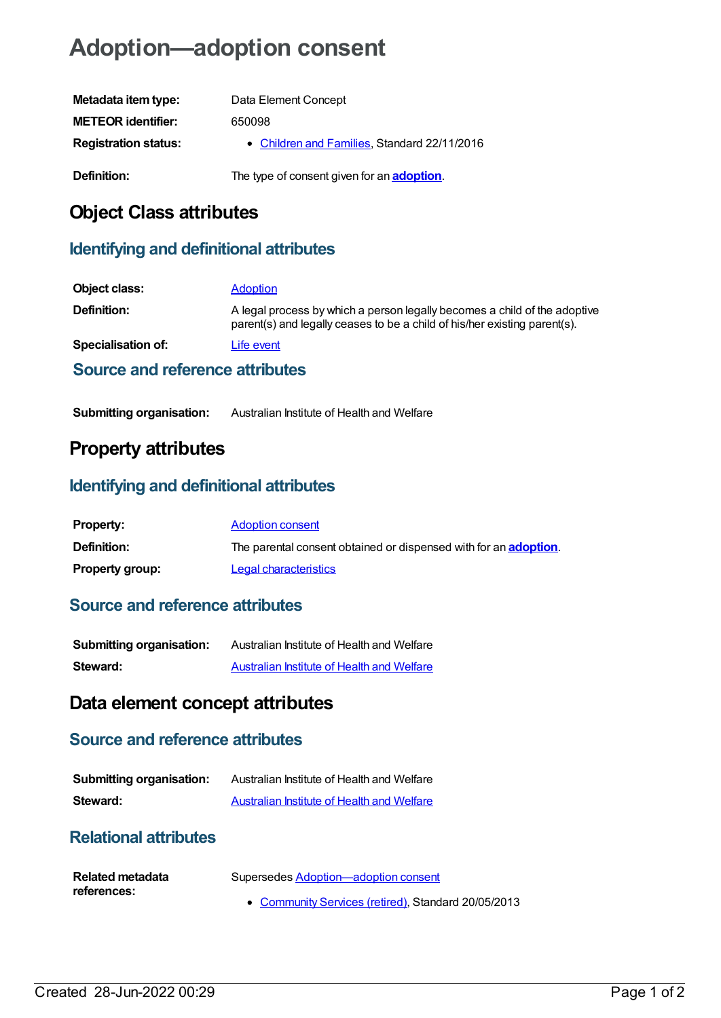# **Adoption—adoption consent**

| Metadata item type:         | Data Element Concept                               |
|-----------------------------|----------------------------------------------------|
| <b>METEOR identifier:</b>   | 650098                                             |
| <b>Registration status:</b> | • Children and Families, Standard 22/11/2016       |
| Definition:                 | The type of consent given for an <b>adoption</b> . |

# **Object Class attributes**

## **Identifying and definitional attributes**

| Object class:                   | <b>Adoption</b>                                                                                                                                        |
|---------------------------------|--------------------------------------------------------------------------------------------------------------------------------------------------------|
| Definition:                     | A legal process by which a person legally becomes a child of the adoptive<br>parent(s) and legally ceases to be a child of his/her existing parent(s). |
| Specialisation of:              | Life event                                                                                                                                             |
| Source and reference attributes |                                                                                                                                                        |

# **Property attributes**

### **Identifying and definitional attributes**

| <b>Property:</b>       | <b>Adoption consent</b>                                                  |
|------------------------|--------------------------------------------------------------------------|
| <b>Definition:</b>     | The parental consent obtained or dispensed with for an <b>adoption</b> . |
| <b>Property group:</b> | Legal characteristics                                                    |

### **Source and reference attributes**

| <b>Submitting organisation:</b> | Australian Institute of Health and Welfare        |
|---------------------------------|---------------------------------------------------|
| Steward:                        | <b>Australian Institute of Health and Welfare</b> |

# **Data element concept attributes**

#### **Source and reference attributes**

| <b>Submitting organisation:</b> | Australian Institute of Health and Welfare |
|---------------------------------|--------------------------------------------|
| Steward:                        | Australian Institute of Health and Welfare |

#### **Relational attributes**

| <b>Related metadata</b> | Supersedes Adoption—adoption consent                |
|-------------------------|-----------------------------------------------------|
| references:             |                                                     |
|                         | • Community Services (retired), Standard 20/05/2013 |